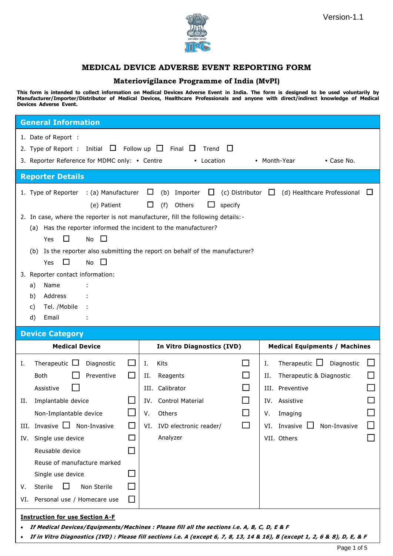



## **MEDICAL DEVICE ADVERSE EVENT REPORTING FORM**

### **Materiovigilance Programme of India (MvPI)**

This form is intended to collect information on Medical Devices Adverse Event in India. The form is designed to be used voluntarily by **Manufacturer/Importer/Distributor of Medical Devices, Healthcare Professionals and anyone with direct/indirect knowledge of Medical Devices Adverse Event.**

| <b>General Information</b>                                                                                                                                                                                                                                                                                                                                                                                                                                                                                                                                                                            |                                                               |                                                                                                                                                   |                                                                  |                                                                                                                                                                                   |  |  |
|-------------------------------------------------------------------------------------------------------------------------------------------------------------------------------------------------------------------------------------------------------------------------------------------------------------------------------------------------------------------------------------------------------------------------------------------------------------------------------------------------------------------------------------------------------------------------------------------------------|---------------------------------------------------------------|---------------------------------------------------------------------------------------------------------------------------------------------------|------------------------------------------------------------------|-----------------------------------------------------------------------------------------------------------------------------------------------------------------------------------|--|--|
| 1. Date of Report :<br>2. Type of Report : Initial $\Box$ Follow up $\Box$<br>3. Reporter Reference for MDMC only: • Centre                                                                                                                                                                                                                                                                                                                                                                                                                                                                           |                                                               | Final $\Box$<br>Trend<br>• Location                                                                                                               | $\perp$                                                          | • Month-Year<br>• Case No.                                                                                                                                                        |  |  |
| <b>Reporter Details</b>                                                                                                                                                                                                                                                                                                                                                                                                                                                                                                                                                                               |                                                               |                                                                                                                                                   |                                                                  |                                                                                                                                                                                   |  |  |
| 1. Type of Reporter : (a) Manufacturer<br>$\Box$<br>Importer<br>⊔<br>(c) Distributor $\Box$<br>(d) Healthcare Professional $\Box$<br>(b)<br>$\Box$<br>(f)<br>Others<br>(e) Patient<br>specify<br>2. In case, where the reporter is not manufacturer, fill the following details:-<br>(a) Has the reporter informed the incident to the manufacturer?<br>$\Box$<br>□<br>Yes<br>No<br>(b) Is the reporter also submitting the report on behalf of the manufacturer?<br>$\Box$<br>No<br>Yes<br>3. Reporter contact information:<br>a)<br>Name<br>Address<br>b)<br>Tel. /Mobile<br>C)<br>d)<br>Email<br>÷ |                                                               |                                                                                                                                                   |                                                                  |                                                                                                                                                                                   |  |  |
| <b>Device Category</b>                                                                                                                                                                                                                                                                                                                                                                                                                                                                                                                                                                                |                                                               |                                                                                                                                                   |                                                                  |                                                                                                                                                                                   |  |  |
| <b>Medical Device</b>                                                                                                                                                                                                                                                                                                                                                                                                                                                                                                                                                                                 |                                                               | In Vitro Diagnostics (IVD)                                                                                                                        |                                                                  |                                                                                                                                                                                   |  |  |
|                                                                                                                                                                                                                                                                                                                                                                                                                                                                                                                                                                                                       |                                                               |                                                                                                                                                   |                                                                  | <b>Medical Equipments / Machines</b>                                                                                                                                              |  |  |
| Therapeutic $\Box$<br>Diagnostic<br>Ι.<br><b>Both</b><br>Preventive<br>Assistive<br>Implantable device<br>Н.<br>Non-Implantable device<br>III. Invasive $\Box$ Non-Invasive<br>Single use device<br>IV.<br>Reusable device<br>Reuse of manufacture marked<br>Single use device<br>$\Box$<br>Sterile<br>Non Sterile<br>v.<br>VI. Personal use / Homecare use                                                                                                                                                                                                                                           | $\mathsf{I}$<br>□<br>$\Box$<br>$\mathbb{Z}^2$<br>×.<br>$\Box$ | Kits<br>Ι.<br>Reagents<br>н.<br>Calibrator<br>III.<br><b>Control Material</b><br>IV.<br>Others<br>۷.<br>IVD electronic reader/<br>VI.<br>Analyzer | $\Box$<br>$\mathcal{L}_{\mathcal{A}}$<br>$\Box$<br>$\mathcal{L}$ | Therapeutic $\Box$<br>Diagnostic<br>ப<br>Ι.<br>Therapeutic & Diagnostic<br>Н.<br>III. Preventive<br>IV. Assistive<br>Imaging<br>۷.<br>VI. Invasive<br>Non-Invasive<br>VII. Others |  |  |

**If in Vitro Diagnostics (IVD) : Please fill sections i.e. A (except 6, 7, 8, 13, 14 & 16), B (except 1, 2, 6 & 8), D, E, & F**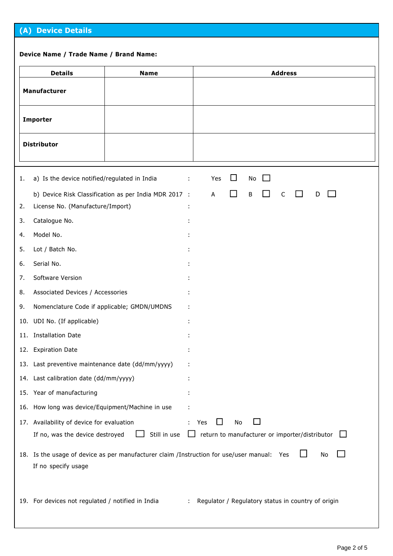# **(A) Device Details**

#### **Device Name / Trade Name / Brand Name:**

|                 | <b>Details</b>                                    | <b>Name</b>                                                                                |    |                                                       |     |                             |         | <b>Address</b> |   |    |         |  |
|-----------------|---------------------------------------------------|--------------------------------------------------------------------------------------------|----|-------------------------------------------------------|-----|-----------------------------|---------|----------------|---|----|---------|--|
|                 | Manufacturer                                      |                                                                                            |    |                                                       |     |                             |         |                |   |    |         |  |
| <b>Importer</b> |                                                   |                                                                                            |    |                                                       |     |                             |         |                |   |    |         |  |
|                 | <b>Distributor</b>                                |                                                                                            |    |                                                       |     |                             |         |                |   |    |         |  |
| 1.              | a) Is the device notified/regulated in India      |                                                                                            | ÷. | Yes                                                   |     | $\Box$                      | No      |                |   |    |         |  |
| 2.              | License No. (Manufacture/Import)                  | b) Device Risk Classification as per India MDR 2017 :                                      |    | A                                                     |     | $\mathcal{L}^{\mathcal{A}}$ | $\sf B$ | $\mathsf{C}$   | D |    |         |  |
| 3.              | Catalogue No.                                     |                                                                                            |    |                                                       |     |                             |         |                |   |    |         |  |
| 4.              | Model No.                                         |                                                                                            |    |                                                       |     |                             |         |                |   |    |         |  |
| 5.              | Lot / Batch No.                                   |                                                                                            |    |                                                       |     |                             |         |                |   |    |         |  |
| 6.              | Serial No.                                        |                                                                                            |    |                                                       |     |                             |         |                |   |    |         |  |
| 7.              | Software Version                                  |                                                                                            |    |                                                       |     |                             |         |                |   |    |         |  |
| 8.              | Associated Devices / Accessories                  |                                                                                            |    |                                                       |     |                             |         |                |   |    |         |  |
| 9.              | Nomenclature Code if applicable; GMDN/UMDNS       |                                                                                            |    |                                                       |     |                             |         |                |   |    |         |  |
|                 | 10. UDI No. (If applicable)                       |                                                                                            |    |                                                       |     |                             |         |                |   |    |         |  |
|                 | 11. Installation Date                             |                                                                                            |    |                                                       |     |                             |         |                |   |    |         |  |
|                 | 12. Expiration Date                               |                                                                                            |    |                                                       |     |                             |         |                |   |    |         |  |
|                 | 13. Last preventive maintenance date (dd/mm/yyyy) |                                                                                            |    |                                                       |     |                             |         |                |   |    |         |  |
|                 | 14. Last calibration date (dd/mm/yyyy)            |                                                                                            |    |                                                       |     |                             |         |                |   |    |         |  |
|                 | 15. Year of manufacturing                         |                                                                                            |    |                                                       |     |                             |         |                |   |    |         |  |
|                 | 16. How long was device/Equipment/Machine in use  |                                                                                            |    |                                                       |     |                             |         |                |   |    |         |  |
|                 | 17. Availability of device for evaluation         |                                                                                            | ÷  | Yes                                                   | l I | No                          |         |                |   |    |         |  |
|                 | If no, was the device destroyed                   | Still in use                                                                               |    | $\Box$ return to manufacturer or importer/distributor |     |                             |         |                |   |    | $\perp$ |  |
|                 | If no specify usage                               | 18. Is the usage of device as per manufacturer claim /Instruction for use/user manual: Yes |    |                                                       |     |                             |         |                |   | No |         |  |
|                 | 19. For devices not regulated / notified in India |                                                                                            | ÷  | Regulator / Regulatory status in country of origin    |     |                             |         |                |   |    |         |  |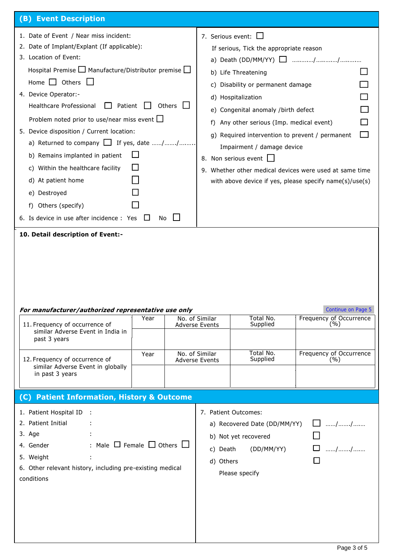| (B) Event Description                                                                                                                                                                                                                                                                                                                                                                                                                                                                                                                                                                                                                        |      |        |                                                                                                                                                                                                                                                                                                                                                                                                                                                                                |                                                                                                              |                                |  |  |  |
|----------------------------------------------------------------------------------------------------------------------------------------------------------------------------------------------------------------------------------------------------------------------------------------------------------------------------------------------------------------------------------------------------------------------------------------------------------------------------------------------------------------------------------------------------------------------------------------------------------------------------------------------|------|--------|--------------------------------------------------------------------------------------------------------------------------------------------------------------------------------------------------------------------------------------------------------------------------------------------------------------------------------------------------------------------------------------------------------------------------------------------------------------------------------|--------------------------------------------------------------------------------------------------------------|--------------------------------|--|--|--|
| 1. Date of Event / Near miss incident:<br>2. Date of Implant/Explant (If applicable):<br>3. Location of Event:<br>Hospital Premise $\Box$ Manufacture/Distributor premise $\Box$<br>Home $\Box$ Others<br>4. Device Operator:-<br>Healthcare Professional<br>Patient<br>Problem noted prior to use/near miss event $\Box$<br>5. Device disposition / Current location:<br>a) Returned to company □ If yes, date //<br>b) Remains implanted in patient<br>c) Within the healthcare facility<br>d) At patient home<br>e) Destroyed<br>Others (specify)<br>f)<br>6. Is device in use after incidence : Yes<br>10. Detail description of Event:- | No   | Others | 7. Serious event: $\square$<br>If serious, Tick the appropriate reason<br>b) Life Threatening<br>c) Disability or permanent damage<br>d) Hospitalization<br>e) Congenital anomaly /birth defect<br>Any other serious (Imp. medical event)<br>t)<br>g) Required intervention to prevent / permanent<br>Impairment / damage device<br>8. Non serious event<br>9. Whether other medical devices were used at same time<br>with above device if yes, please specify name(s)/use(s) |                                                                                                              |                                |  |  |  |
| For manufacturer/authorized representative use only                                                                                                                                                                                                                                                                                                                                                                                                                                                                                                                                                                                          |      |        |                                                                                                                                                                                                                                                                                                                                                                                                                                                                                |                                                                                                              | Continue on Page 5             |  |  |  |
| 11. Frequency of occurrence of<br>similar Adverse Event in India in<br>past 3 years                                                                                                                                                                                                                                                                                                                                                                                                                                                                                                                                                          | Year |        | No. of Similar<br><b>Adverse Events</b>                                                                                                                                                                                                                                                                                                                                                                                                                                        | Total No.<br>Supplied                                                                                        | Frequency of Occurrence<br>(%) |  |  |  |
| 12. Frequency of occurrence of<br>similar Adverse Event in globally<br>in past 3 years                                                                                                                                                                                                                                                                                                                                                                                                                                                                                                                                                       | Year |        | No. of Similar<br><b>Adverse Events</b>                                                                                                                                                                                                                                                                                                                                                                                                                                        | Total No.<br>Supplied                                                                                        | Frequency of Occurrence<br>(%) |  |  |  |
| (C) Patient Information, History & Outcome                                                                                                                                                                                                                                                                                                                                                                                                                                                                                                                                                                                                   |      |        |                                                                                                                                                                                                                                                                                                                                                                                                                                                                                |                                                                                                              |                                |  |  |  |
| 1. Patient Hospital ID<br>- 1<br>2. Patient Initial<br>3. Age<br>: Male $\square$ Female $\square$ Others $\square$<br>4. Gender<br>5. Weight<br>6. Other relevant history, including pre-existing medical<br>conditions                                                                                                                                                                                                                                                                                                                                                                                                                     |      |        | c) Death<br>d) Others                                                                                                                                                                                                                                                                                                                                                                                                                                                          | 7. Patient Outcomes:<br>a) Recovered Date (DD/MM/YY)<br>b) Not yet recovered<br>(DD/MM/YY)<br>Please specify | $\Box$ //<br>$\Box$ //         |  |  |  |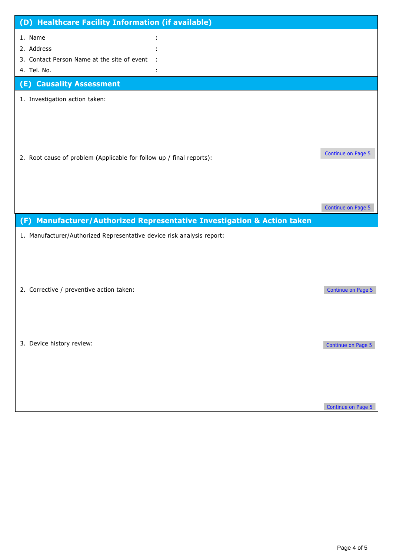| (D) Healthcare Facility Information (if available)                                                                 |                    |
|--------------------------------------------------------------------------------------------------------------------|--------------------|
| 1. Name<br>2. Address<br>3. Contact Person Name at the site of event<br>4. Tel. No.                                |                    |
| (E) Causality Assessment                                                                                           |                    |
| 1. Investigation action taken:                                                                                     |                    |
| 2. Root cause of problem (Applicable for follow up / final reports):                                               | Continue on Page 5 |
|                                                                                                                    | Continue on Page 5 |
| Manufacturer/Authorized Representative Investigation & Action taken<br>(F)                                         |                    |
| 1. Manufacturer/Authorized Representative device risk analysis report:<br>2. Corrective / preventive action taken: | Continue on Page 5 |
| 3. Device history review:                                                                                          | Continue on Page 5 |
|                                                                                                                    | Continue on Page 5 |